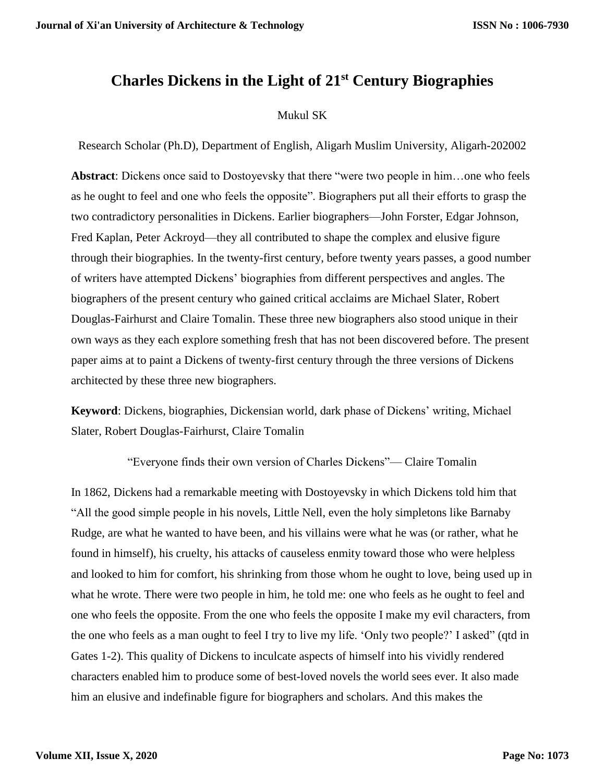## **Charles Dickens in the Light of 21st Century Biographies**

## Mukul SK

Research Scholar (Ph.D), Department of English, Aligarh Muslim University, Aligarh-202002

**Abstract**: Dickens once said to Dostoyevsky that there "were two people in him…one who feels as he ought to feel and one who feels the opposite". Biographers put all their efforts to grasp the two contradictory personalities in Dickens. Earlier biographers—John Forster, Edgar Johnson, Fred Kaplan, Peter Ackroyd—they all contributed to shape the complex and elusive figure through their biographies. In the twenty-first century, before twenty years passes, a good number of writers have attempted Dickens' biographies from different perspectives and angles. The biographers of the present century who gained critical acclaims are Michael Slater, Robert Douglas-Fairhurst and Claire Tomalin. These three new biographers also stood unique in their own ways as they each explore something fresh that has not been discovered before. The present paper aims at to paint a Dickens of twenty-first century through the three versions of Dickens architected by these three new biographers.

**Keyword**: Dickens, biographies, Dickensian world, dark phase of Dickens' writing, Michael Slater, Robert Douglas-Fairhurst, Claire Tomalin

"Everyone finds their own version of Charles Dickens"— Claire Tomalin

In 1862, Dickens had a remarkable meeting with Dostoyevsky in which Dickens told him that "All the good simple people in his novels, Little Nell, even the holy simpletons like Barnaby Rudge, are what he wanted to have been, and his villains were what he was (or rather, what he found in himself), his cruelty, his attacks of causeless enmity toward those who were helpless and looked to him for comfort, his shrinking from those whom he ought to love, being used up in what he wrote. There were two people in him, he told me: one who feels as he ought to feel and one who feels the opposite. From the one who feels the opposite I make my evil characters, from the one who feels as a man ought to feel I try to live my life. 'Only two people?' I asked" (qtd in Gates 1-2). This quality of Dickens to inculcate aspects of himself into his vividly rendered characters enabled him to produce some of best-loved novels the world sees ever. It also made him an elusive and indefinable figure for biographers and scholars. And this makes the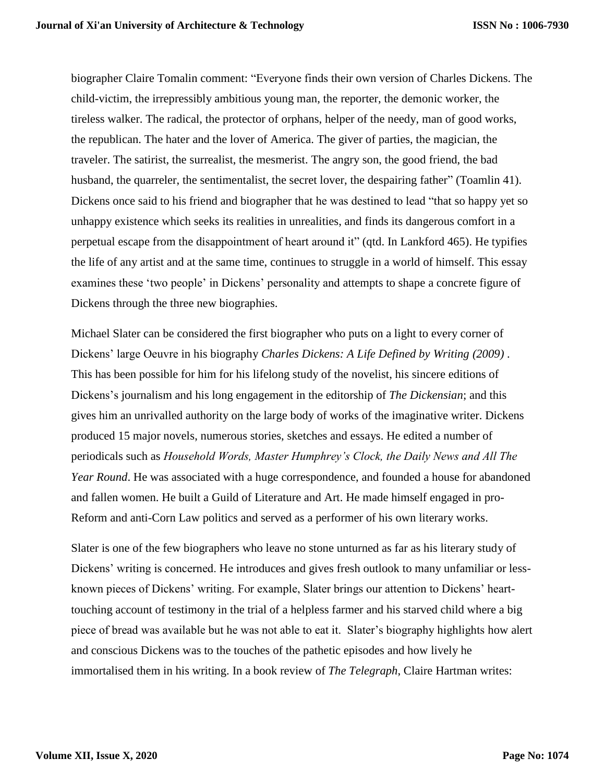biographer Claire Tomalin comment: "Everyone finds their own version of Charles Dickens. The child-victim, the irrepressibly ambitious young man, the reporter, the demonic worker, the tireless walker. The radical, the protector of orphans, helper of the needy, man of good works, the republican. The hater and the lover of America. The giver of parties, the magician, the traveler. The satirist, the surrealist, the mesmerist. The angry son, the good friend, the bad husband, the quarreler, the sentimentalist, the secret lover, the despairing father" (Toamlin 41). Dickens once said to his friend and biographer that he was destined to lead "that so happy yet so unhappy existence which seeks its realities in unrealities, and finds its dangerous comfort in a perpetual escape from the disappointment of heart around it" (qtd. In Lankford 465). He typifies the life of any artist and at the same time, continues to struggle in a world of himself. This essay examines these 'two people' in Dickens' personality and attempts to shape a concrete figure of Dickens through the three new biographies.

Michael Slater can be considered the first biographer who puts on a light to every corner of Dickens' large Oeuvre in his biography *Charles Dickens: A Life Defined by Writing (2009)* . This has been possible for him for his lifelong study of the novelist, his sincere editions of Dickens's journalism and his long engagement in the editorship of *The Dickensian*; and this gives him an unrivalled authority on the large body of works of the imaginative writer. Dickens produced 15 major novels, numerous stories, sketches and essays. He edited a number of periodicals such as *Household Words, Master Humphrey's Clock, the Daily News and All The Year Round*. He was associated with a huge correspondence, and founded a house for abandoned and fallen women. He built a Guild of Literature and Art. He made himself engaged in pro-Reform and anti-Corn Law politics and served as a performer of his own literary works.

Slater is one of the few biographers who leave no stone unturned as far as his literary study of Dickens' writing is concerned. He introduces and gives fresh outlook to many unfamiliar or lessknown pieces of Dickens' writing. For example, Slater brings our attention to Dickens' hearttouching account of testimony in the trial of a helpless farmer and his starved child where a big piece of bread was available but he was not able to eat it. Slater's biography highlights how alert and conscious Dickens was to the touches of the pathetic episodes and how lively he immortalised them in his writing. In a book review of *The Telegraph*, Claire Hartman writes: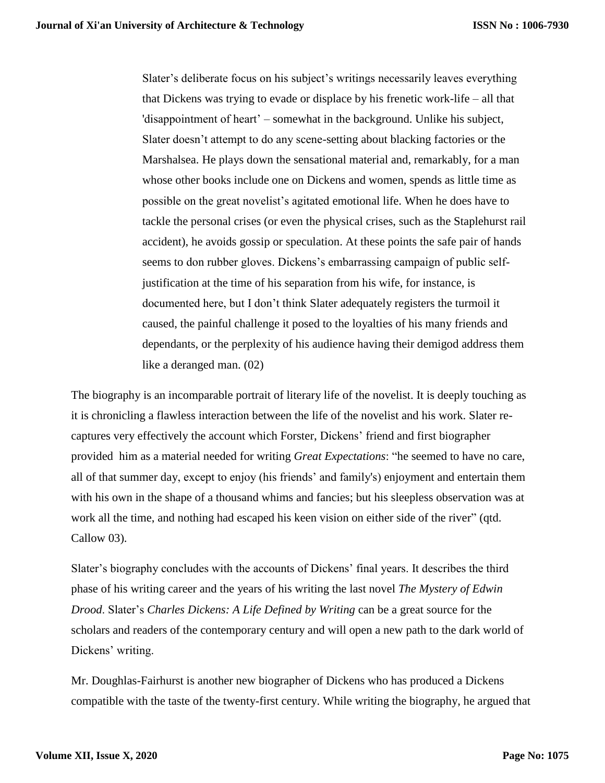Slater's deliberate focus on his subject's writings necessarily leaves everything that Dickens was trying to evade or displace by his frenetic work-life – all that 'disappointment of heart' – somewhat in the background. Unlike his subject, Slater doesn't attempt to do any scene-setting about blacking factories or the Marshalsea. He plays down the sensational material and, remarkably, for a man whose other books include one on Dickens and women, spends as little time as possible on the great novelist's agitated emotional life. When he does have to tackle the personal crises (or even the physical crises, such as the Staplehurst rail accident), he avoids gossip or speculation. At these points the safe pair of hands seems to don rubber gloves. Dickens's embarrassing campaign of public selfjustification at the time of his separation from his wife, for instance, is documented here, but I don't think Slater adequately registers the turmoil it caused, the painful challenge it posed to the loyalties of his many friends and dependants, or the perplexity of his audience having their demigod address them like a deranged man. (02)

The biography is an incomparable portrait of literary life of the novelist. It is deeply touching as it is chronicling a flawless interaction between the life of the novelist and his work. Slater recaptures very effectively the account which Forster, Dickens' friend and first biographer provided him as a material needed for writing *Great Expectations*: "he seemed to have no care, all of that summer day, except to enjoy (his friends' and family's) enjoyment and entertain them with his own in the shape of a thousand whims and fancies; but his sleepless observation was at work all the time, and nothing had escaped his keen vision on either side of the river" (qtd. Callow 03).

Slater's biography concludes with the accounts of Dickens' final years. It describes the third phase of his writing career and the years of his writing the last novel *The Mystery of Edwin Drood*. Slater's *Charles Dickens: A Life Defined by Writing* can be a great source for the scholars and readers of the contemporary century and will open a new path to the dark world of Dickens' writing.

Mr. Doughlas-Fairhurst is another new biographer of Dickens who has produced a Dickens compatible with the taste of the twenty-first century. While writing the biography, he argued that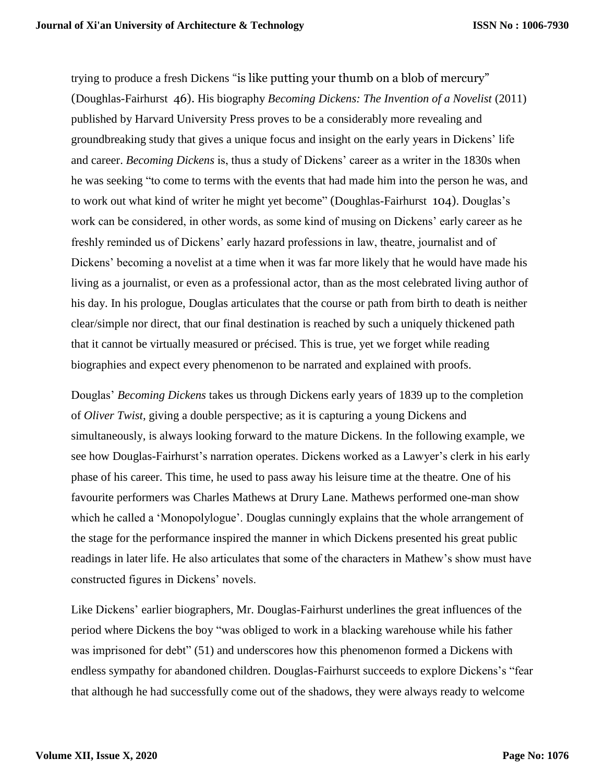trying to produce a fresh Dickens "is like putting your thumb on a blob of mercury" (Doughlas-Fairhurst 46). His biography *Becoming Dickens: The Invention of a Novelist* (2011) published by Harvard University Press proves to be a considerably more revealing and groundbreaking study that gives a unique focus and insight on the early years in Dickens' life and career. *Becoming Dickens* is, thus a study of Dickens' career as a writer in the 1830s when he was seeking "to come to terms with the events that had made him into the person he was, and to work out what kind of writer he might yet become" (Doughlas-Fairhurst 104). Douglas's work can be considered, in other words, as some kind of musing on Dickens' early career as he freshly reminded us of Dickens' early hazard professions in law, theatre, journalist and of Dickens' becoming a novelist at a time when it was far more likely that he would have made his living as a journalist, or even as a professional actor, than as the most celebrated living author of his day. In his prologue, Douglas articulates that the course or path from birth to death is neither clear/simple nor direct, that our final destination is reached by such a uniquely thickened path that it cannot be virtually measured or précised. This is true, yet we forget while reading biographies and expect every phenomenon to be narrated and explained with proofs.

Douglas' *Becoming Dickens* takes us through Dickens early years of 1839 up to the completion of *Oliver Twist*, giving a double perspective; as it is capturing a young Dickens and simultaneously, is always looking forward to the mature Dickens. In the following example, we see how Douglas-Fairhurst's narration operates. Dickens worked as a Lawyer's clerk in his early phase of his career. This time, he used to pass away his leisure time at the theatre. One of his favourite performers was Charles Mathews at Drury Lane. Mathews performed one-man show which he called a 'Monopolylogue'. Douglas cunningly explains that the whole arrangement of the stage for the performance inspired the manner in which Dickens presented his great public readings in later life. He also articulates that some of the characters in Mathew's show must have constructed figures in Dickens' novels.

Like Dickens' earlier biographers, Mr. Douglas-Fairhurst underlines the great influences of the period where Dickens the boy "was obliged to work in a blacking warehouse while his father was imprisoned for debt" (51) and underscores how this phenomenon formed a Dickens with endless sympathy for abandoned children. Douglas-Fairhurst succeeds to explore Dickens's "fear that although he had successfully come out of the shadows, they were always ready to welcome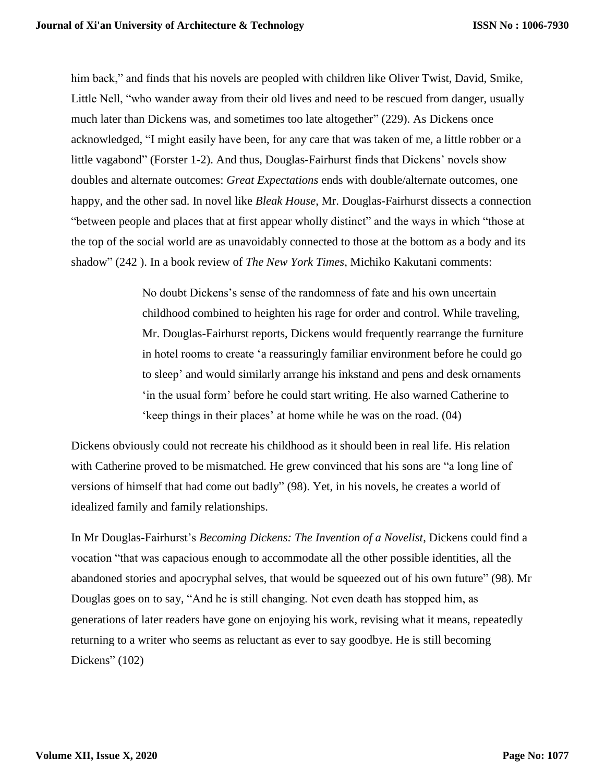him back," and finds that his novels are peopled with children like Oliver Twist, David, Smike, Little Nell, "who wander away from their old lives and need to be rescued from danger, usually much later than Dickens was, and sometimes too late altogether" (229). As Dickens once acknowledged, "I might easily have been, for any care that was taken of me, a little robber or a little vagabond" (Forster 1-2). And thus, Douglas-Fairhurst finds that Dickens' novels show doubles and alternate outcomes: *Great Expectations* ends with double/alternate outcomes, one happy, and the other sad. In novel like *Bleak House*, Mr. Douglas-Fairhurst dissects a connection "between people and places that at first appear wholly distinct" and the ways in which "those at the top of the social world are as unavoidably connected to those at the bottom as a body and its shadow" (242 ). In a book review of *The New York Times*, Michiko Kakutani comments:

> No doubt Dickens's sense of the randomness of fate and his own uncertain childhood combined to heighten his rage for order and control. While traveling, Mr. Douglas-Fairhurst reports, Dickens would frequently rearrange the furniture in hotel rooms to create 'a reassuringly familiar environment before he could go to sleep' and would similarly arrange his inkstand and pens and desk ornaments 'in the usual form' before he could start writing. He also warned Catherine to 'keep things in their places' at home while he was on the road. (04)

Dickens obviously could not recreate his childhood as it should been in real life. His relation with Catherine proved to be mismatched. He grew convinced that his sons are "a long line of versions of himself that had come out badly" (98). Yet, in his novels, he creates a world of idealized family and family relationships.

In Mr Douglas-Fairhurst's *Becoming Dickens: The Invention of a Novelist*, Dickens could find a vocation "that was capacious enough to accommodate all the other possible identities, all the abandoned stories and apocryphal selves, that would be squeezed out of his own future" (98). Mr Douglas goes on to say, "And he is still changing. Not even death has stopped him, as generations of later readers have gone on enjoying his work, revising what it means, repeatedly returning to a writer who seems as reluctant as ever to say goodbye. He is still becoming Dickens" (102)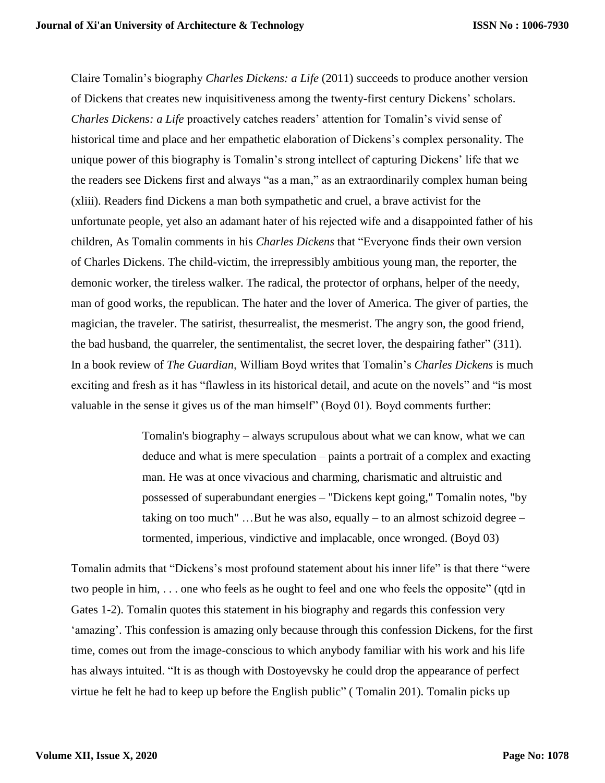Claire Tomalin's biography *Charles Dickens: a Life* (2011) succeeds to produce another version of Dickens that creates new inquisitiveness among the twenty-first century Dickens' scholars. *Charles Dickens: a Life* proactively catches readers' attention for Tomalin's vivid sense of historical time and place and her empathetic elaboration of Dickens's complex personality. The unique power of this biography is Tomalin's strong intellect of capturing Dickens' life that we the readers see Dickens first and always "as a man," as an extraordinarily complex human being (xliii). Readers find Dickens a man both sympathetic and cruel, a brave activist for the unfortunate people, yet also an adamant hater of his rejected wife and a disappointed father of his children, As Tomalin comments in his *Charles Dickens* that "Everyone finds their own version of Charles Dickens. The child-victim, the irrepressibly ambitious young man, the reporter, the demonic worker, the tireless walker. The radical, the protector of orphans, helper of the needy, man of good works, the republican. The hater and the lover of America. The giver of parties, the magician, the traveler. The satirist, thesurrealist, the mesmerist. The angry son, the good friend, the bad husband, the quarreler, the sentimentalist, the secret lover, the despairing father" (311). In a book review of *The Guardian*, William Boyd writes that Tomalin's *Charles Dickens* is much exciting and fresh as it has "flawless in its historical detail, and acute on the novels" and "is most valuable in the sense it gives us of the man himself" (Boyd 01). Boyd comments further:

> Tomalin's biography – always scrupulous about what we can know, what we can deduce and what is mere speculation – paints a portrait of a complex and exacting man. He was at once vivacious and charming, charismatic and altruistic and possessed of superabundant energies – "Dickens kept going," Tomalin notes, "by taking on too much"...But he was also, equally  $-$  to an almost schizoid degree  $$ tormented, imperious, vindictive and implacable, once wronged. (Boyd 03)

Tomalin admits that "Dickens's most profound statement about his inner life" is that there "were two people in him, . . . one who feels as he ought to feel and one who feels the opposite" (qtd in Gates 1-2). Tomalin quotes this statement in his biography and regards this confession very 'amazing'. This confession is amazing only because through this confession Dickens, for the first time, comes out from the image-conscious to which anybody familiar with his work and his life has always intuited. "It is as though with Dostoyevsky he could drop the appearance of perfect virtue he felt he had to keep up before the English public" ( Tomalin 201). Tomalin picks up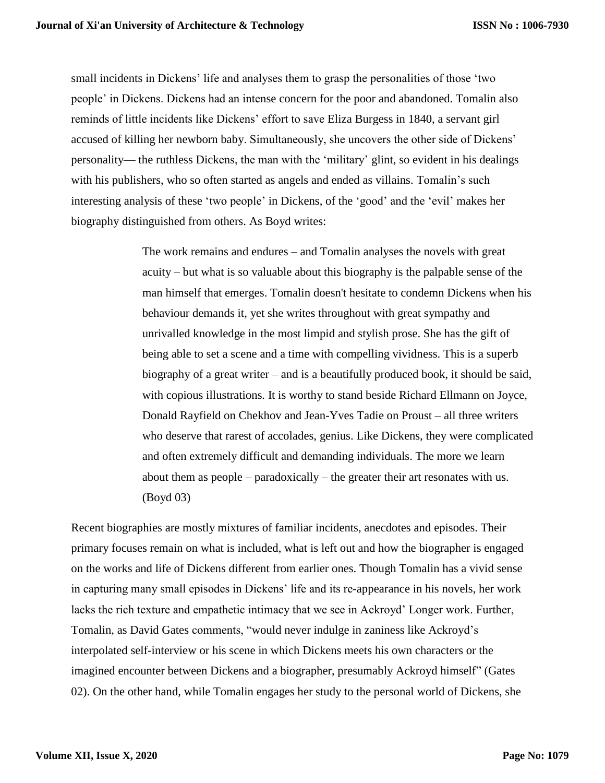small incidents in Dickens' life and analyses them to grasp the personalities of those 'two people' in Dickens. Dickens had an intense concern for the poor and abandoned. Tomalin also reminds of little incidents like Dickens' effort to save Eliza Burgess in 1840, a servant girl accused of killing her newborn baby. Simultaneously, she uncovers the other side of Dickens' personality— the ruthless Dickens, the man with the 'military' glint, so evident in his dealings with his publishers, who so often started as angels and ended as villains. Tomalin's such interesting analysis of these 'two people' in Dickens, of the 'good' and the 'evil' makes her biography distinguished from others. As Boyd writes:

> The work remains and endures – and Tomalin analyses the novels with great acuity – but what is so valuable about this biography is the palpable sense of the man himself that emerges. Tomalin doesn't hesitate to condemn Dickens when his behaviour demands it, yet she writes throughout with great sympathy and unrivalled knowledge in the most limpid and stylish prose. She has the gift of being able to set a scene and a time with compelling vividness. This is a superb biography of a great writer – and is a beautifully produced book, it should be said, with copious illustrations. It is worthy to stand beside Richard Ellmann on Joyce, Donald Rayfield on Chekhov and Jean-Yves Tadie on Proust – all three writers who deserve that rarest of accolades, genius. Like Dickens, they were complicated and often extremely difficult and demanding individuals. The more we learn about them as people – paradoxically – the greater their art resonates with us. (Boyd 03)

Recent biographies are mostly mixtures of familiar incidents, anecdotes and episodes. Their primary focuses remain on what is included, what is left out and how the biographer is engaged on the works and life of Dickens different from earlier ones. Though Tomalin has a vivid sense in capturing many small episodes in Dickens' life and its re-appearance in his novels, her work lacks the rich texture and empathetic intimacy that we see in Ackroyd' Longer work. Further, Tomalin, as David Gates comments, "would never indulge in zaniness like Ackroyd's interpolated self-interview or his scene in which Dickens meets his own characters or the imagined encounter between Dickens and a biographer, presumably Ackroyd himself" (Gates 02). On the other hand, while Tomalin engages her study to the personal world of Dickens, she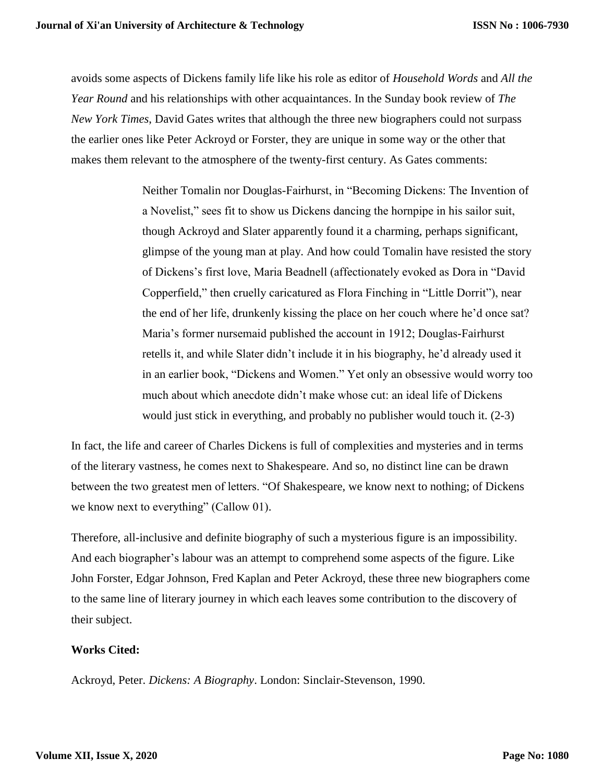avoids some aspects of Dickens family life like his role as editor of *Household Words* and *All the Year Round* and his relationships with other acquaintances. In the Sunday book review of *The New York Times*, David Gates writes that although the three new biographers could not surpass the earlier ones like Peter Ackroyd or Forster, they are unique in some way or the other that makes them relevant to the atmosphere of the twenty-first century. As Gates comments:

> Neither Tomalin nor Douglas-Fairhurst, in "Becoming Dickens: The Invention of a Novelist," sees fit to show us Dickens dancing the hornpipe in his sailor suit, though Ackroyd and Slater apparently found it a charming, perhaps significant, glimpse of the young man at play. And how could Tomalin have resisted the story of Dickens's first love, Maria Beadnell (affectionately evoked as Dora in "David Copperfield," then cruelly caricatured as Flora Finching in "Little Dorrit"), near the end of her life, drunkenly kissing the place on her couch where he'd once sat? Maria's former nursemaid published the account in 1912; Douglas-Fairhurst retells it, and while Slater didn't include it in his biography, he'd already used it in an earlier book, "Dickens and Women." Yet only an obsessive would worry too much about which anecdote didn't make whose cut: an ideal life of Dickens would just stick in everything, and probably no publisher would touch it. (2-3)

In fact, the life and career of Charles Dickens is full of complexities and mysteries and in terms of the literary vastness, he comes next to Shakespeare. And so, no distinct line can be drawn between the two greatest men of letters. "Of Shakespeare, we know next to nothing; of Dickens we know next to everything" (Callow 01).

Therefore, all-inclusive and definite biography of such a mysterious figure is an impossibility. And each biographer's labour was an attempt to comprehend some aspects of the figure. Like John Forster, Edgar Johnson, Fred Kaplan and Peter Ackroyd, these three new biographers come to the same line of literary journey in which each leaves some contribution to the discovery of their subject.

## **Works Cited:**

Ackroyd, Peter. *Dickens: A Biography*. London: Sinclair-Stevenson, 1990.